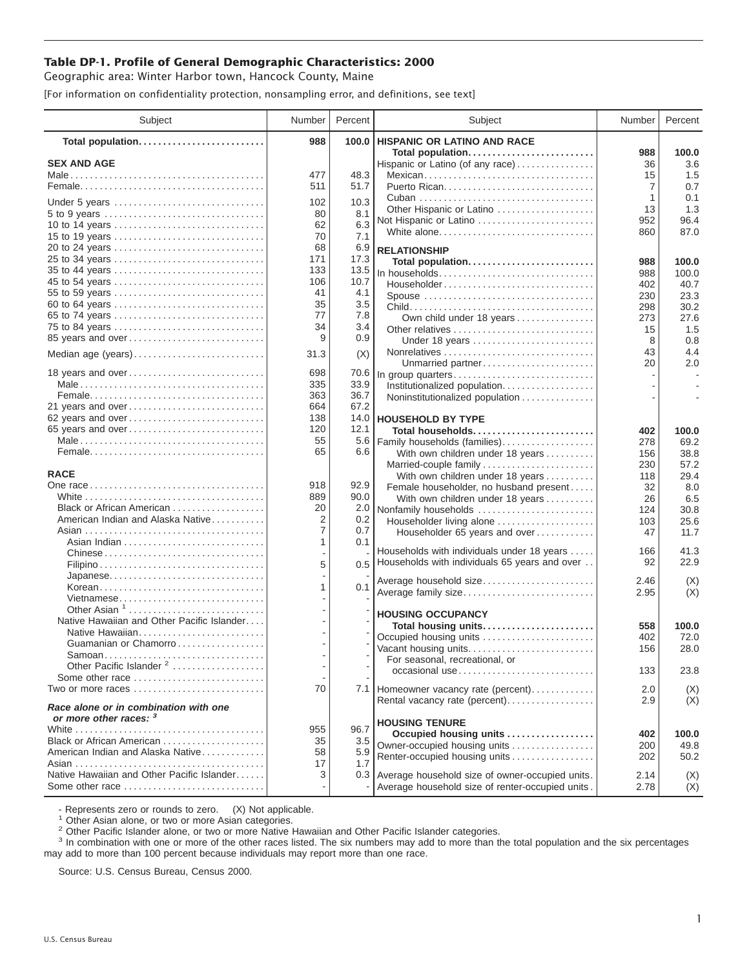## **Table DP-1. Profile of General Demographic Characteristics: 2000**

Geographic area: Winter Harbor town, Hancock County, Maine

[For information on confidentiality protection, nonsampling error, and definitions, see text]

| Subject                                    | Number   | Percent    | Subject                                                | Number     | Percent       |
|--------------------------------------------|----------|------------|--------------------------------------------------------|------------|---------------|
| Total population                           | 988      | 100.0      | <b>HISPANIC OR LATINO AND RACE</b>                     |            |               |
|                                            |          |            | Total population                                       | 988        | 100.0         |
| <b>SEX AND AGE</b>                         | 477      | 48.3       | Hispanic or Latino (of any race)                       | 36         | 3.6           |
|                                            | 511      | 51.7       | Mexican                                                | 15<br>7    | 1.5<br>0.7    |
|                                            |          |            |                                                        | 1          | 0.1           |
| Under 5 years                              | 102      | 10.3       | Other Hispanic or Latino                               | 13         | 1.3           |
| 5 to 9 years                               | 80       | 8.1        | Not Hispanic or Latino                                 | 952        | 96.4          |
| 10 to 14 years                             | 62       | 6.3        | White alone                                            | 860        | 87.0          |
| 15 to 19 years                             | 70       | 7.1        |                                                        |            |               |
| 20 to 24 years                             | 68       | 6.9        | <b>RELATIONSHIP</b>                                    |            |               |
| 25 to 34 years                             | 171      | 17.3       | Total population                                       | 988        | 100.0         |
| 35 to 44 years                             | 133      | 13.5       | In households                                          | 988        | 100.0         |
| 45 to 54 years                             | 106      | 10.7       | Householder                                            | 402        | 40.7          |
| 55 to 59 years                             | 41       | 4.1        | Spouse                                                 | 230        | 23.3          |
| 60 to 64 years                             | 35       | 3.5        |                                                        | 298        | 30.2          |
| 65 to 74 years                             | 77       | 7.8        | Own child under 18 years                               | 273        | 27.6          |
| 75 to 84 years                             | 34       | 3.4        | Other relatives                                        | 15         | 1.5           |
| 85 years and over                          | 9        | 0.9        | Under 18 years                                         | 8          | 0.8           |
| Median age (years)                         | 31.3     | (X)        |                                                        | 43         | 4.4           |
|                                            |          |            | Unmarried partner                                      | 20         | 2.0           |
| 18 years and over                          | 698      | 70.6       | In group quarters                                      |            |               |
|                                            | 335      | 33.9       | Institutionalized population                           |            |               |
|                                            | 363      | 36.7       | Noninstitutionalized population                        |            |               |
| 21 years and over                          | 664      | 67.2       |                                                        |            |               |
| 62 years and over                          | 138      | 14.0       | <b>HOUSEHOLD BY TYPE</b>                               |            |               |
| 65 years and over                          | 120      | 12.1       | Total households                                       | 402        | 100.0         |
|                                            | 55<br>65 | 5.6<br>6.6 | Family households (families)                           | 278        | 69.2          |
|                                            |          |            | With own children under 18 years                       | 156        | 38.8          |
| <b>RACE</b>                                |          |            | Married-couple family                                  | 230        | 57.2          |
|                                            | 918      | 92.9       | With own children under 18 years                       | 118        | 29.4          |
|                                            | 889      | 90.0       | Female householder, no husband present                 | 32         | 8.0           |
| Black or African American                  | 20       | 2.0        | With own children under 18 years                       | 26         | 6.5           |
| American Indian and Alaska Native          | 2        | 0.2        | Nonfamily households                                   | 124<br>103 | 30.8<br>25.6  |
|                                            | 7        | 0.7        | Householder living alone                               | 47         | 11.7          |
|                                            | 1        | 0.1        | Householder 65 years and over                          |            |               |
|                                            |          |            | Households with individuals under 18 years             | 166        | 41.3          |
|                                            | 5        |            | 0.5 Households with individuals 65 years and over      | 92         | 22.9          |
|                                            |          |            |                                                        |            |               |
| Korean                                     | 1        | 0.1        | Average household size                                 | 2.46       | (X)           |
| Vietnamese                                 |          |            | Average family size                                    | 2.95       | (X)           |
| Other Asian <sup>1</sup>                   |          |            |                                                        |            |               |
| Native Hawaiian and Other Pacific Islander |          |            | <b>HOUSING OCCUPANCY</b>                               |            |               |
| Native Hawaiian                            |          |            | Total housing units<br>Occupied housing units          | 558        | 100.0<br>72.0 |
| Guamanian or Chamorro                      |          |            |                                                        | 402        | 28.0          |
| Samoan                                     |          |            | Vacant housing units<br>For seasonal, recreational, or | 156        |               |
| Other Pacific Islander <sup>2</sup>        |          |            | occasional use                                         | 133        | 23.8          |
| Some other race                            |          |            |                                                        |            |               |
| Two or more races                          | 70       |            | 7.1 Homeowner vacancy rate (percent)                   | 2.0        | (X)           |
| Race alone or in combination with one      |          |            | Rental vacancy rate (percent)                          | 2.9        | (X)           |
| or more other races: 3                     |          |            | <b>HOUSING TENURE</b>                                  |            |               |
|                                            | 955      | 96.7       | Occupied housing units                                 | 402        | 100.0         |
| Black or African American                  | 35       | 3.5        | Owner-occupied housing units                           | 200        | 49.8          |
| American Indian and Alaska Native          | 58       | 5.9        | Renter-occupied housing units                          | 202        | 50.2          |
|                                            | 17       | 1.7        |                                                        |            |               |
| Native Hawaiian and Other Pacific Islander | 3        | 0.3        | Average household size of owner-occupied units.        | 2.14       | (X)           |
| Some other race                            |          |            | Average household size of renter-occupied units.       | 2.78       | (X)           |

- Represents zero or rounds to zero. (X) Not applicable.<br><sup>1</sup> Other Asian alone, or two or more Asian categories.

<sup>2</sup> Other Pacific Islander alone, or two or more Native Hawaiian and Other Pacific Islander categories.<br><sup>3</sup> In combination with one or more of the other races listed. The six numbers may add to more than the total populati may add to more than 100 percent because individuals may report more than one race.

Source: U.S. Census Bureau, Census 2000.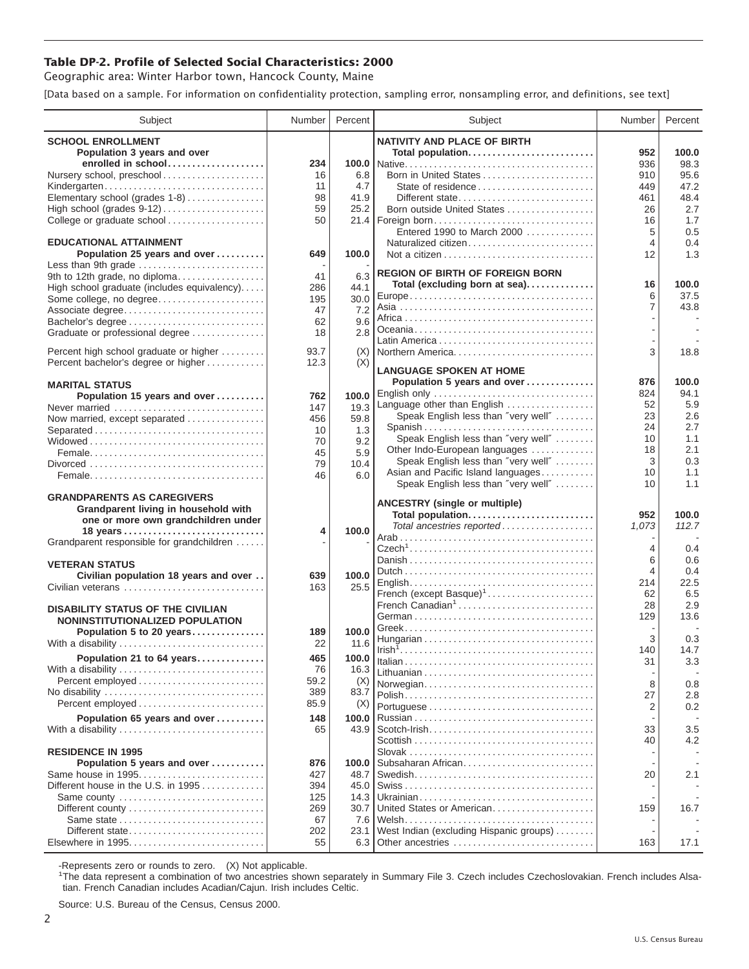## **Table DP-2. Profile of Selected Social Characteristics: 2000**

Geographic area: Winter Harbor town, Hancock County, Maine

[Data based on a sample. For information on confidentiality protection, sampling error, nonsampling error, and definitions, see text]

| Subject                                                   | Number     | Percent      | Subject                                 | Number         | Percent |
|-----------------------------------------------------------|------------|--------------|-----------------------------------------|----------------|---------|
| <b>SCHOOL ENROLLMENT</b>                                  |            |              | <b>NATIVITY AND PLACE OF BIRTH</b>      |                |         |
| Population 3 years and over                               |            |              | Total population                        | 952            | 100.0   |
| enrolled in school                                        | 234        |              |                                         | 936            | 98.3    |
| Nursery school, preschool                                 | 16         | 6.8          | Born in United States                   | 910            | 95.6    |
| Kindergarten                                              | 11         | 4.7          | State of residence                      | 449            | 47.2    |
| Elementary school (grades 1-8)                            | 98         | 41.9         | Different state                         | 461            | 48.4    |
|                                                           | 59         | 25.2         | Born outside United States              | 26             | 2.7     |
| College or graduate school                                | 50         | 21.4         | Foreign born                            | 16             | 1.7     |
|                                                           |            |              | Entered 1990 to March 2000              | 5              | 0.5     |
| <b>EDUCATIONAL ATTAINMENT</b>                             |            |              | Naturalized citizen                     | $\overline{4}$ | 0.4     |
| Population 25 years and over<br>Less than 9th grade       | 649        | 100.0        |                                         | 12             | 1.3     |
| 9th to 12th grade, no diploma                             | 41         | 6.3          | <b>REGION OF BIRTH OF FOREIGN BORN</b>  |                |         |
| High school graduate (includes equivalency)               | 286        | 44.1         | Total (excluding born at sea)           | 16             | 100.0   |
| Some college, no degree                                   | 195        | 30.0         |                                         | 6              | 37.5    |
| Associate degree                                          | 47         | 7.2          |                                         | 7              | 43.8    |
| Bachelor's degree                                         | 62         | 9.6          |                                         |                |         |
| Graduate or professional degree                           | 18         | 2.8          |                                         |                |         |
|                                                           |            |              |                                         |                |         |
| Percent high school graduate or higher                    | 93.7       | (X)          | Northern America                        | 3              | 18.8    |
| Percent bachelor's degree or higher                       | 12.3       | (X)          | <b>LANGUAGE SPOKEN AT HOME</b>          |                |         |
| <b>MARITAL STATUS</b>                                     |            |              | Population 5 years and over             | 876            | 100.0   |
| Population 15 years and over                              | 762        | 100.0        | English only                            | 824            | 94.1    |
| Never married                                             | 147        | 19.3         | Language other than English             | 52             | 5.9     |
| Now married, except separated                             | 456        | 59.8         | Speak English less than "very well"     | 23             | 2.6     |
|                                                           | 10         | 1.3          | Spanish                                 | 24             | 2.7     |
|                                                           | 70         | 9.2          | Speak English less than "very well"     | 10             | 1.1     |
|                                                           | 45         | 5.9          | Other Indo-European languages           | 18             | 2.1     |
|                                                           | 79         | 10.4         | Speak English less than "very well"     | 3              | 0.3     |
|                                                           | 46         | 6.0          | Asian and Pacific Island languages      | 10             | 1.1     |
|                                                           |            |              | Speak English less than "very well"     | 10             | 1.1     |
| <b>GRANDPARENTS AS CAREGIVERS</b>                         |            |              | <b>ANCESTRY</b> (single or multiple)    |                |         |
| Grandparent living in household with                      |            |              | Total population                        | 952            | 100.0   |
| one or more own grandchildren under                       | 4          | 100.0        | Total ancestries reported               | 1,073          | 112.7   |
| Grandparent responsible for grandchildren                 |            |              |                                         |                |         |
|                                                           |            |              |                                         | 4              | 0.4     |
| <b>VETERAN STATUS</b>                                     |            |              |                                         | 6              | 0.6     |
| Civilian population 18 years and over                     | 639        | 100.0        |                                         | $\overline{4}$ | 0.4     |
| Civilian veterans                                         | 163        | 25.5         |                                         | 214            | 22.5    |
|                                                           |            |              | French (except Basque) <sup>1</sup>     | 62             | 6.5     |
| <b>DISABILITY STATUS OF THE CIVILIAN</b>                  |            |              | French Canadian <sup>1</sup>            | 28             | 2.9     |
| NONINSTITUTIONALIZED POPULATION                           |            |              |                                         | 129            | 13.6    |
| Population 5 to 20 years                                  | 189        | 100.0        |                                         | 3              | 0.3     |
| With a disability                                         | 22         | 11.6         |                                         | 140            | 14.7    |
| Population 21 to 64 years                                 | 465        | 100.0        |                                         | 31             | 3.3     |
| With a disability                                         | 76         | 16.3         |                                         |                |         |
|                                                           | 59.2       | (X)          | Norwegian                               | 8              | 0.8     |
| No disability                                             | 389        | 83.7         |                                         | 27             | 2.8     |
| Percent employed                                          | 85.9       | (X)          |                                         | 2              | 0.2     |
| Population 65 years and over                              | 148        | 100.0        |                                         |                |         |
| With a disability                                         | 65         | 43.9         | Scotch-Irish                            | 33             | 3.5     |
|                                                           |            |              |                                         | 40             | 4.2     |
| <b>RESIDENCE IN 1995</b>                                  |            |              |                                         |                |         |
| Population 5 years and over                               | 876        | 100.0        | Subsaharan African                      |                |         |
| Same house in 1995<br>Different house in the U.S. in 1995 | 427        | 48.7         |                                         | 20             | 2.1     |
| Same county                                               | 394<br>125 | 45.0<br>14.3 |                                         |                |         |
| Different county                                          | 269        | 30.7         | United States or American               | 159            | 16.7    |
| Same state                                                | 67         | 7.6          |                                         |                |         |
| Different state                                           | 202        | 23.1         | West Indian (excluding Hispanic groups) |                |         |
|                                                           | 55         |              | 6.3 Other ancestries                    | 163            | 17.1    |
|                                                           |            |              |                                         |                |         |

-Represents zero or rounds to zero. (X) Not applicable. 1 The data represent a combination of two ancestries shown separately in Summary File 3. Czech includes Czechoslovakian. French includes Alsatian. French Canadian includes Acadian/Cajun. Irish includes Celtic.

Source: U.S. Bureau of the Census, Census 2000.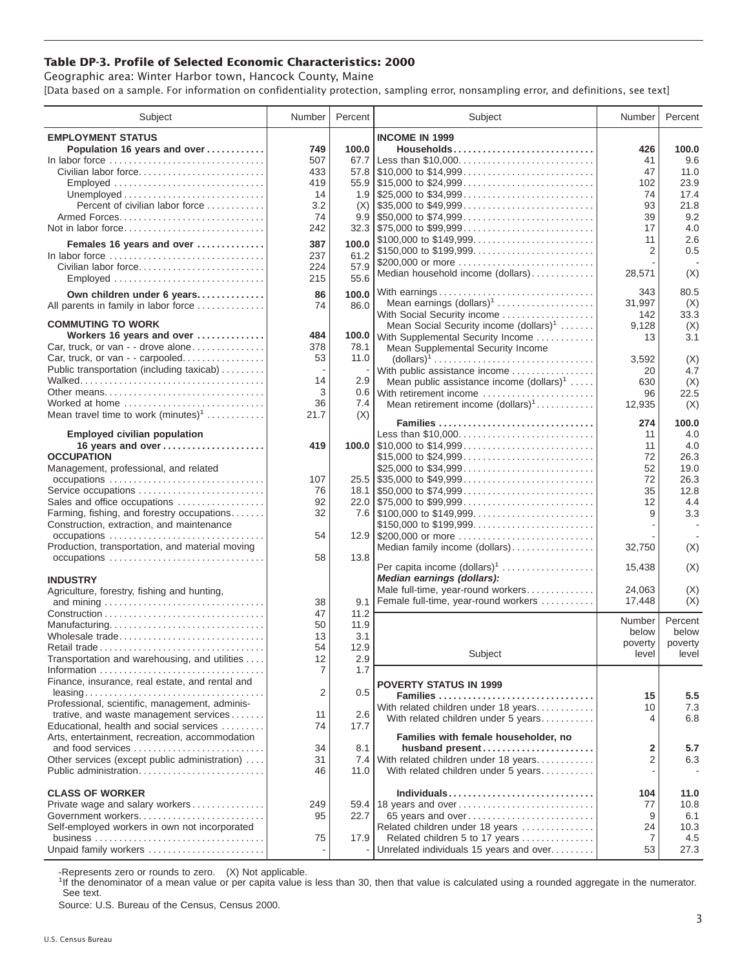## **Table DP-3. Profile of Selected Economic Characteristics: 2000**

Geographic area: Winter Harbor town, Hancock County, Maine [Data based on a sample. For information on confidentiality protection, sampling error, nonsampling error, and definitions, see text]

| Subject                                                       | Number         | Percent     | Subject                                                                                                                     | Number           | Percent     |
|---------------------------------------------------------------|----------------|-------------|-----------------------------------------------------------------------------------------------------------------------------|------------------|-------------|
| <b>EMPLOYMENT STATUS</b>                                      |                |             | <b>INCOME IN 1999</b>                                                                                                       |                  |             |
| Population 16 years and over                                  | 749            | 100.0       | Households                                                                                                                  | 426              | 100.0       |
| In labor force                                                | 507            | 67.7        |                                                                                                                             | 41               | 9.6         |
| Civilian labor force                                          | 433            |             |                                                                                                                             | 47               | 11.0        |
| Employed                                                      | 419            |             |                                                                                                                             | 102              | 23.9        |
|                                                               | 14             |             |                                                                                                                             | 74               | 17.4        |
| Percent of civilian labor force                               | 3.2            | (X)         | $\frac{1}{2}$ \$35,000 to \$49,999                                                                                          | 93               | 21.8        |
|                                                               | 74             |             |                                                                                                                             | 39               | 9.2         |
| Not in labor force                                            | 242            |             | $32.3$ \\ \$75,000 to \$99,999                                                                                              | 17               | 4.0         |
| Females 16 years and over                                     | 387            | 100.0       |                                                                                                                             | 11               | 2.6         |
|                                                               |                | 61.2        |                                                                                                                             | 2                | 0.5         |
| In labor force<br>Civilian labor force                        | 237<br>224     | 57.9        | \$200,000 or more                                                                                                           |                  |             |
| Employed                                                      | 215            | 55.6        | Median household income (dollars)                                                                                           | 28,571           | (X)         |
|                                                               |                |             |                                                                                                                             |                  |             |
| Own children under 6 years                                    | 86             | 100.0       | With earnings                                                                                                               | 343              | 80.5        |
| All parents in family in labor force                          | 74             | 86.0        | Mean earnings $(dollars)1$                                                                                                  | 31,997           | (X)         |
| <b>COMMUTING TO WORK</b>                                      |                |             | With Social Security income                                                                                                 | 142              | 33.3        |
| Workers 16 years and over                                     | 484            |             | Mean Social Security income $(dollars)^1$                                                                                   | 9,128            | (X)         |
| Car, truck, or van - - drove alone                            | 378            | 78.1        | 100.0 With Supplemental Security Income                                                                                     | 13               | 3.1         |
| Car, truck, or van - - carpooled                              | 53             | 11.0        | Mean Supplemental Security Income<br>$\text{(dollars)}^1 \dots \dots \dots \dots \dots \dots \dots \dots \dots \dots \dots$ |                  |             |
| Public transportation (including taxicab)                     |                |             |                                                                                                                             | 3,592            | (X)<br>4.7  |
|                                                               | 14             | 2.9         | With public assistance income                                                                                               | 20               |             |
| Other means                                                   | 3              |             | Mean public assistance income $(dollars)1 \ldots$ .<br>0.6 With retirement income                                           | 630              | (X)<br>22.5 |
| Worked at home                                                | 36             | 7.4         | Mean retirement income (dollars) <sup>1</sup>                                                                               | 96<br>12,935     | (X)         |
| Mean travel time to work $(minutes)^1$                        | 21.7           | (X)         |                                                                                                                             |                  |             |
|                                                               |                |             | Families                                                                                                                    | 274              | 100.0       |
| <b>Employed civilian population</b>                           |                |             | Less than \$10,000                                                                                                          | 11               | 4.0         |
| 16 years and over                                             | 419            |             |                                                                                                                             | 11               | 4.0         |
| <b>OCCUPATION</b>                                             |                |             | \$15,000 to \$24,999                                                                                                        | 72               | 26.3        |
| Management, professional, and related                         |                |             | \$25,000 to \$34,999                                                                                                        | 52               | 19.0        |
|                                                               | 107            |             | $25.5$ \\$35,000 to \$49,999                                                                                                | 72               | 26.3        |
| Service occupations                                           | 76             |             |                                                                                                                             | 35               | 12.8        |
| Sales and office occupations                                  | 92             |             |                                                                                                                             | 12               | 4.4         |
| Farming, fishing, and forestry occupations                    | 32             |             |                                                                                                                             | 9                | 3.3         |
| Construction, extraction, and maintenance                     |                |             | \$150,000 to \$199,999                                                                                                      |                  |             |
| occupations                                                   | 54             |             | 12.9 \$200,000 or more                                                                                                      |                  |             |
| Production, transportation, and material moving               |                |             | Median family income (dollars)                                                                                              | 32,750           | (X)         |
|                                                               | 58             | 13.8        |                                                                                                                             |                  |             |
|                                                               |                |             | Per capita income (dollars) <sup>1</sup>                                                                                    | 15,438           | (X)         |
| <b>INDUSTRY</b>                                               |                |             | Median earnings (dollars):                                                                                                  |                  |             |
| Agriculture, forestry, fishing and hunting,                   |                |             | Male full-time, year-round workers                                                                                          | 24,063<br>17,448 | (X)<br>(X)  |
|                                                               | 38             | 9.1         | Female full-time, year-round workers                                                                                        |                  |             |
|                                                               | 47             | 11.2        |                                                                                                                             | Number           | Percent     |
| Manufacturing                                                 | 50             | 11.9<br>3.1 |                                                                                                                             | below            | below       |
| Wholesale trade                                               | 13<br>54       | 12.9        |                                                                                                                             | poverty          | poverty     |
| Retail trade<br>Transportation and warehousing, and utilities | 12             | 2.9         | Subject                                                                                                                     | level l          | level       |
|                                                               | $\overline{7}$ | 1.7         |                                                                                                                             |                  |             |
| Finance, insurance, real estate, and rental and               |                |             |                                                                                                                             |                  |             |
|                                                               | 2              | 0.5         | <b>POVERTY STATUS IN 1999</b>                                                                                               |                  |             |
| Professional, scientific, management, adminis-                |                |             | Families                                                                                                                    | 15               | $5.5\,$     |
| trative, and waste management services                        | 11             | 2.6         | With related children under 18 years                                                                                        | 10               | 7.3         |
| Educational, health and social services                       | 74             | 17.7        | With related children under 5 years                                                                                         | 4                | 6.8         |
| Arts, entertainment, recreation, accommodation                |                |             | Families with female householder, no                                                                                        |                  |             |
| and food services                                             | 34             | 8.1         | husband present                                                                                                             | 2                | 5.7         |
| Other services (except public administration)                 | 31             |             | 7.4 With related children under 18 years                                                                                    | 2                | 6.3         |
| Public administration                                         | 46             | 11.0        | With related children under 5 years                                                                                         |                  |             |
|                                                               |                |             |                                                                                                                             |                  |             |
| <b>CLASS OF WORKER</b>                                        |                |             | Individuals                                                                                                                 | 104              | 11.0        |
| Private wage and salary workers                               | 249            |             | 59.4 18 years and over                                                                                                      | 77               | 10.8        |
| Government workers                                            | 95             | 22.7        | 65 years and over                                                                                                           | 9                | 6.1         |
| Self-employed workers in own not incorporated                 |                |             | Related children under 18 years                                                                                             | 24               | 10.3        |
|                                                               | 75             | 17.9        | Related children 5 to 17 years                                                                                              | 7                | 4.5         |
| Unpaid family workers                                         |                |             | Unrelated individuals 15 years and over                                                                                     | 53               | 27.3        |

-Represents zero or rounds to zero. (X) Not applicable.

<sup>1</sup>If the denominator of a mean value or per capita value is less than 30, then that value is calculated using a rounded aggregate in the numerator. See text.

Source: U.S. Bureau of the Census, Census 2000.